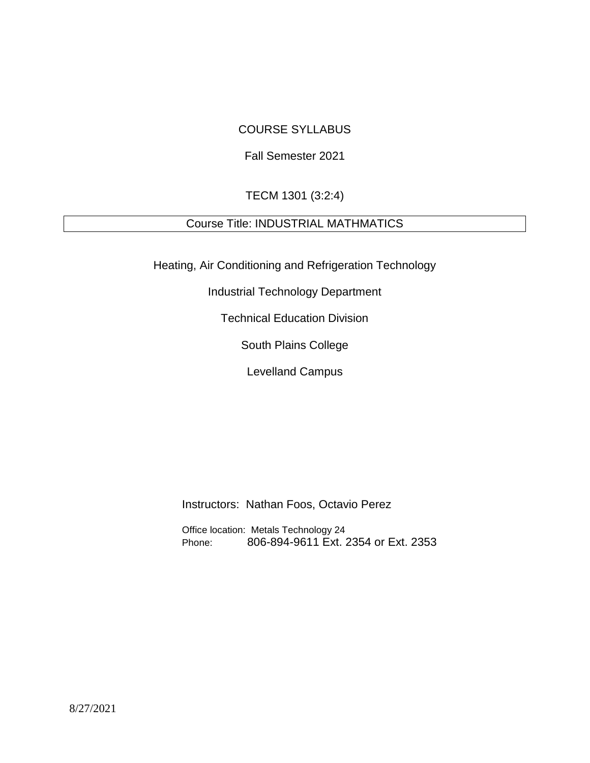## COURSE SYLLABUS

## Fall Semester 2021

## TECM 1301 (3:2:4)

# Course Title: INDUSTRIAL MATHMATICS

Heating, Air Conditioning and Refrigeration Technology

Industrial Technology Department

Technical Education Division

South Plains College

Levelland Campus

Instructors: Nathan Foos, Octavio Perez

Office location: Metals Technology 24 Phone: 806-894-9611 Ext. 2354 or Ext. 2353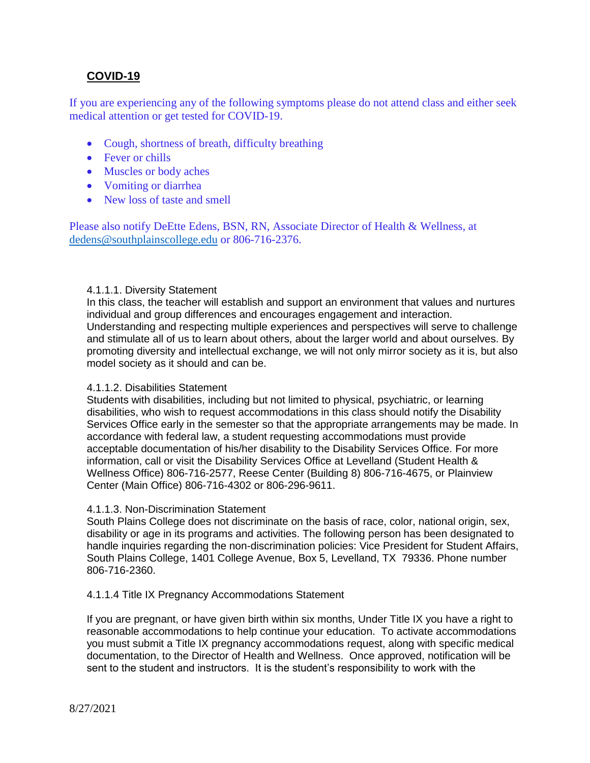## **COVID-19**

If you are experiencing any of the following symptoms please do not attend class and either seek medical attention or get tested for COVID-19.

- Cough, shortness of breath, difficulty breathing
- Fever or chills
- Muscles or body aches
- Vomiting or diarrhea
- New loss of taste and smell

Please also notify DeEtte Edens, BSN, RN, Associate Director of Health & Wellness, at [dedens@southplainscollege.edu](mailto:dedens@southplainscollege.edu) or 806-716-2376.

### 4.1.1.1. Diversity Statement

In this class, the teacher will establish and support an environment that values and nurtures individual and group differences and encourages engagement and interaction. Understanding and respecting multiple experiences and perspectives will serve to challenge and stimulate all of us to learn about others, about the larger world and about ourselves. By promoting diversity and intellectual exchange, we will not only mirror society as it is, but also model society as it should and can be.

#### 4.1.1.2. Disabilities Statement

Students with disabilities, including but not limited to physical, psychiatric, or learning disabilities, who wish to request accommodations in this class should notify the Disability Services Office early in the semester so that the appropriate arrangements may be made. In accordance with federal law, a student requesting accommodations must provide acceptable documentation of his/her disability to the Disability Services Office. For more information, call or visit the Disability Services Office at Levelland (Student Health & Wellness Office) 806-716-2577, Reese Center (Building 8) 806-716-4675, or Plainview Center (Main Office) 806-716-4302 or 806-296-9611.

#### 4.1.1.3. Non-Discrimination Statement

South Plains College does not discriminate on the basis of race, color, national origin, sex, disability or age in its programs and activities. The following person has been designated to handle inquiries regarding the non-discrimination policies: Vice President for Student Affairs, South Plains College, 1401 College Avenue, Box 5, Levelland, TX 79336. Phone number 806-716-2360.

### 4.1.1.4 Title IX Pregnancy Accommodations Statement

If you are pregnant, or have given birth within six months, Under Title IX you have a right to reasonable accommodations to help continue your education. To activate accommodations you must submit a Title IX pregnancy accommodations request, along with specific medical documentation, to the Director of Health and Wellness. Once approved, notification will be sent to the student and instructors. It is the student's responsibility to work with the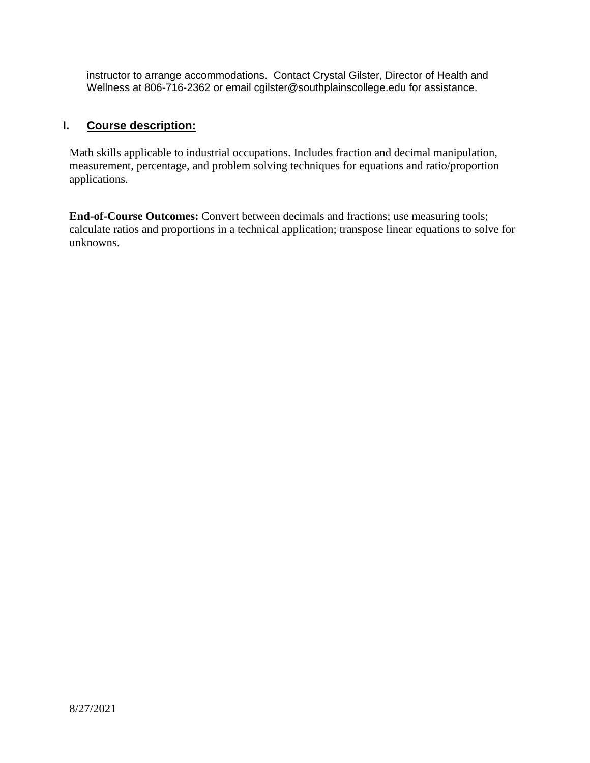instructor to arrange accommodations. Contact Crystal Gilster, Director of Health and Wellness at 806-716-2362 or email cgilster@southplainscollege.edu for assistance.

## **I. Course description:**

Math skills applicable to industrial occupations. Includes fraction and decimal manipulation, measurement, percentage, and problem solving techniques for equations and ratio/proportion applications.

**End-of-Course Outcomes:** Convert between decimals and fractions; use measuring tools; calculate ratios and proportions in a technical application; transpose linear equations to solve for unknowns.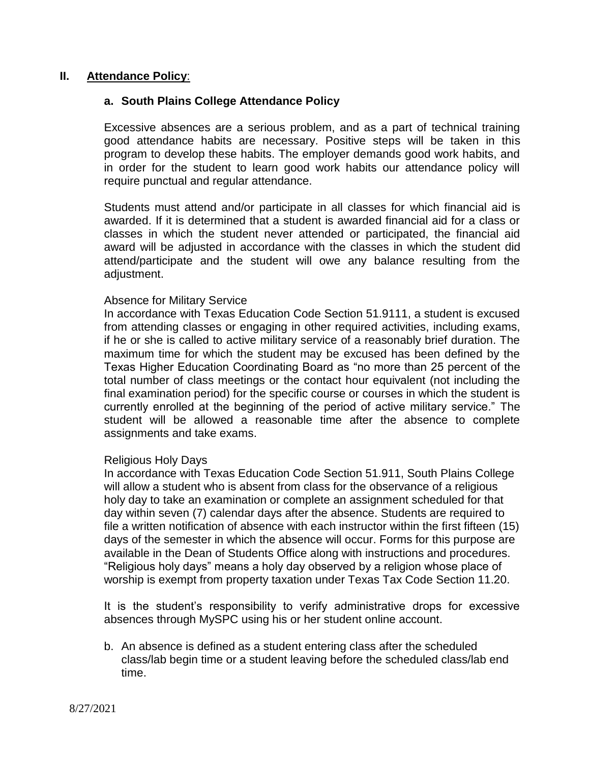### **II. Attendance Policy**:

### **a. South Plains College Attendance Policy**

Excessive absences are a serious problem, and as a part of technical training good attendance habits are necessary. Positive steps will be taken in this program to develop these habits. The employer demands good work habits, and in order for the student to learn good work habits our attendance policy will require punctual and regular attendance.

Students must attend and/or participate in all classes for which financial aid is awarded. If it is determined that a student is awarded financial aid for a class or classes in which the student never attended or participated, the financial aid award will be adjusted in accordance with the classes in which the student did attend/participate and the student will owe any balance resulting from the adjustment.

### Absence for Military Service

In accordance with Texas Education Code Section 51.9111, a student is excused from attending classes or engaging in other required activities, including exams, if he or she is called to active military service of a reasonably brief duration. The maximum time for which the student may be excused has been defined by the Texas Higher Education Coordinating Board as "no more than 25 percent of the total number of class meetings or the contact hour equivalent (not including the final examination period) for the specific course or courses in which the student is currently enrolled at the beginning of the period of active military service." The student will be allowed a reasonable time after the absence to complete assignments and take exams.

### Religious Holy Days

In accordance with Texas Education Code Section 51.911, South Plains College will allow a student who is absent from class for the observance of a religious holy day to take an examination or complete an assignment scheduled for that day within seven (7) calendar days after the absence. Students are required to file a written notification of absence with each instructor within the first fifteen (15) days of the semester in which the absence will occur. Forms for this purpose are available in the Dean of Students Office along with instructions and procedures. "Religious holy days" means a holy day observed by a religion whose place of worship is exempt from property taxation under Texas Tax Code Section 11.20.

It is the student's responsibility to verify administrative drops for excessive absences through MySPC using his or her student online account.

b. An absence is defined as a student entering class after the scheduled class/lab begin time or a student leaving before the scheduled class/lab end time.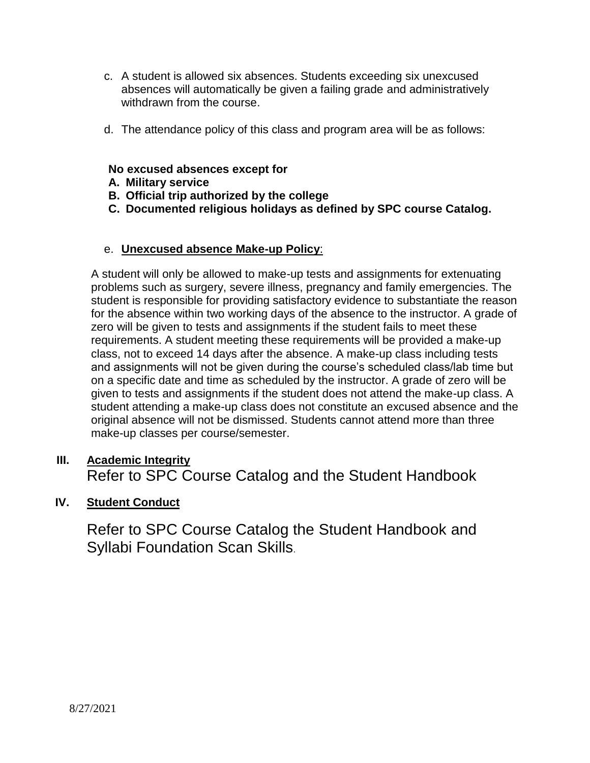- c. A student is allowed six absences. Students exceeding six unexcused absences will automatically be given a failing grade and administratively withdrawn from the course.
- d. The attendance policy of this class and program area will be as follows:

## **No excused absences except for**

- **A. Military service**
- **B. Official trip authorized by the college**
- **C. Documented religious holidays as defined by SPC course Catalog.**

## e. **Unexcused absence Make-up Policy**:

A student will only be allowed to make-up tests and assignments for extenuating problems such as surgery, severe illness, pregnancy and family emergencies. The student is responsible for providing satisfactory evidence to substantiate the reason for the absence within two working days of the absence to the instructor. A grade of zero will be given to tests and assignments if the student fails to meet these requirements. A student meeting these requirements will be provided a make-up class, not to exceed 14 days after the absence. A make-up class including tests and assignments will not be given during the course's scheduled class/lab time but on a specific date and time as scheduled by the instructor. A grade of zero will be given to tests and assignments if the student does not attend the make-up class. A student attending a make-up class does not constitute an excused absence and the original absence will not be dismissed. Students cannot attend more than three make-up classes per course/semester.

# **III. Academic Integrity** Refer to SPC Course Catalog and the Student Handbook

## **IV. Student Conduct**

Refer to SPC Course Catalog the Student Handbook and Syllabi Foundation Scan Skills.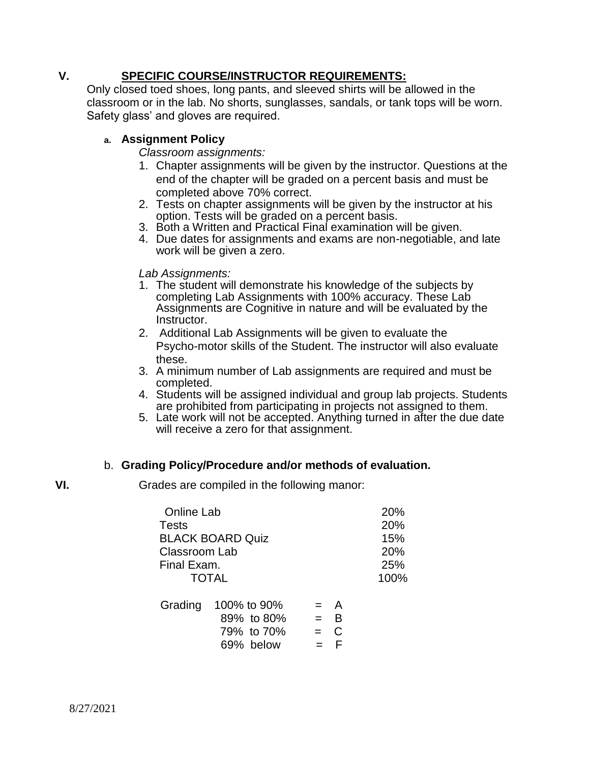## **V. SPECIFIC COURSE/INSTRUCTOR REQUIREMENTS:**

Only closed toed shoes, long pants, and sleeved shirts will be allowed in the classroom or in the lab. No shorts, sunglasses, sandals, or tank tops will be worn. Safety glass' and gloves are required.

## **a. Assignment Policy**

*Classroom assignments:*

- 1. Chapter assignments will be given by the instructor. Questions at the end of the chapter will be graded on a percent basis and must be completed above 70% correct.
- 2. Tests on chapter assignments will be given by the instructor at his option. Tests will be graded on a percent basis.
- 3. Both a Written and Practical Final examination will be given.
- 4. Due dates for assignments and exams are non-negotiable, and late work will be given a zero.

*Lab Assignments:*

- 1. The student will demonstrate his knowledge of the subjects by completing Lab Assignments with 100% accuracy. These Lab Assignments are Cognitive in nature and will be evaluated by the Instructor.
- 2. Additional Lab Assignments will be given to evaluate the Psycho-motor skills of the Student. The instructor will also evaluate these.
- 3. A minimum number of Lab assignments are required and must be completed.
- 4. Students will be assigned individual and group lab projects. Students are prohibited from participating in projects not assigned to them.
- 5. Late work will not be accepted. Anything turned in after the due date will receive a zero for that assignment.

## b. **Grading Policy/Procedure and/or methods of evaluation.**

**VI.** Grades are compiled in the following manor:

| <b>Online Lab</b>       |                     |         |        | 20%  |
|-------------------------|---------------------|---------|--------|------|
| <b>Tests</b>            |                     |         |        | 20%  |
| <b>BLACK BOARD Quiz</b> |                     |         |        | 15%  |
| Classroom Lab           |                     |         |        | 20%  |
| Final Exam.             |                     |         |        | 25%  |
| <b>TOTAL</b>            |                     |         |        | 100% |
|                         | Grading 100% to 90% |         | $=$ A  |      |
|                         | 89% to 80%          | $=$ $-$ | В<br>⌒ |      |

 $79\%$  to  $70\%$  = C  $69\%$  below  $=$  F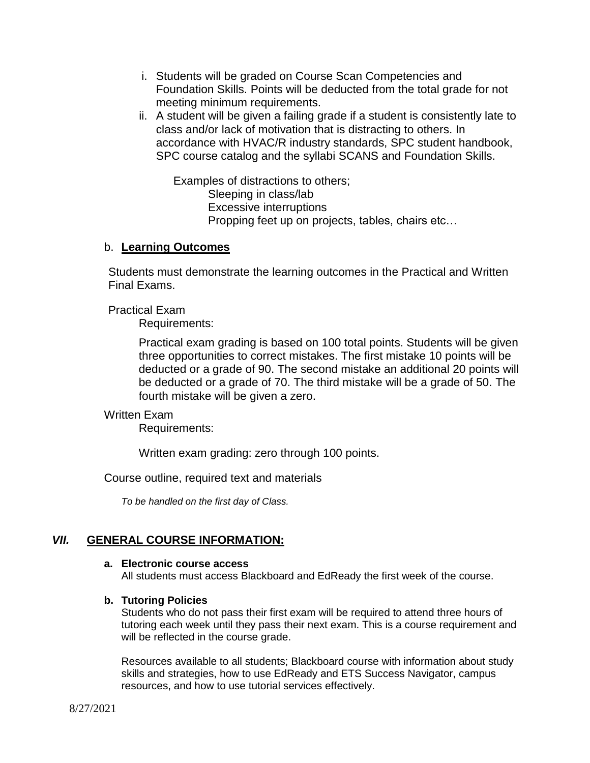- i. Students will be graded on Course Scan Competencies and Foundation Skills. Points will be deducted from the total grade for not meeting minimum requirements.
- ii. A student will be given a failing grade if a student is consistently late to class and/or lack of motivation that is distracting to others. In accordance with HVAC/R industry standards, SPC student handbook, SPC course catalog and the syllabi SCANS and Foundation Skills.

Examples of distractions to others; Sleeping in class/lab Excessive interruptions Propping feet up on projects, tables, chairs etc…

### b. **Learning Outcomes**

Students must demonstrate the learning outcomes in the Practical and Written Final Exams.

Practical Exam

Requirements:

Practical exam grading is based on 100 total points. Students will be given three opportunities to correct mistakes. The first mistake 10 points will be deducted or a grade of 90. The second mistake an additional 20 points will be deducted or a grade of 70. The third mistake will be a grade of 50. The fourth mistake will be given a zero.

### Written Exam

Requirements:

Written exam grading: zero through 100 points.

Course outline, required text and materials

*To be handled on the first day of Class.*

## *VII.* **GENERAL COURSE INFORMATION:**

#### **a. Electronic course access**

All students must access Blackboard and EdReady the first week of the course.

### **b. Tutoring Policies**

Students who do not pass their first exam will be required to attend three hours of tutoring each week until they pass their next exam. This is a course requirement and will be reflected in the course grade.

Resources available to all students; Blackboard course with information about study skills and strategies, how to use EdReady and ETS Success Navigator, campus resources, and how to use tutorial services effectively.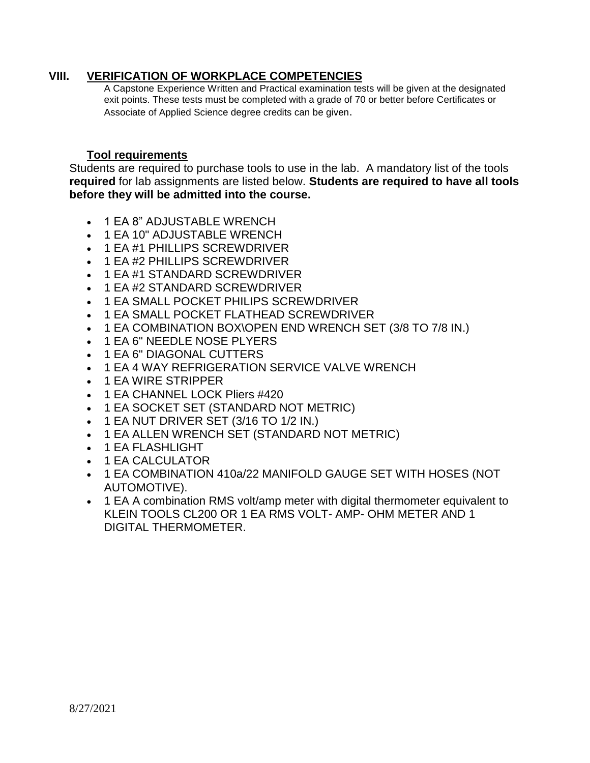## **VIII. VERIFICATION OF WORKPLACE COMPETENCIES**

A Capstone Experience Written and Practical examination tests will be given at the designated exit points. These tests must be completed with a grade of 70 or better before Certificates or Associate of Applied Science degree credits can be given.

## **Tool requirements**

Students are required to purchase tools to use in the lab. A mandatory list of the tools **required** for lab assignments are listed below. **Students are required to have all tools before they will be admitted into the course.**

- 1 EA 8" ADJUSTABLE WRENCH
- 1 EA 10" ADJUSTABLE WRENCH
- 1 EA #1 PHILLIPS SCREWDRIVER
- 1 EA #2 PHILLIPS SCREWDRIVER
- 1 EA #1 STANDARD SCREWDRIVER
- 1 EA #2 STANDARD SCREWDRIVER
- 1 EA SMALL POCKET PHILIPS SCREWDRIVER
- 1 EA SMALL POCKET FLATHEAD SCREWDRIVER
- 1 EA COMBINATION BOX\OPEN END WRENCH SET (3/8 TO 7/8 IN.)
- 1 EA 6" NEEDLE NOSE PLYERS
- 1 EA 6" DIAGONAL CUTTERS
- 1 EA 4 WAY REFRIGERATION SERVICE VALVE WRENCH
- 1 EA WIRE STRIPPER
- 1 EA CHANNEL LOCK Pliers #420
- 1 EA SOCKET SET (STANDARD NOT METRIC)
- $\bullet$  1 EA NUT DRIVER SET (3/16 TO 1/2 IN.)
- 1 EA ALLEN WRENCH SET (STANDARD NOT METRIC)
- 1 EA FLASHLIGHT
- 1 EA CALCULATOR
- 1 EA COMBINATION 410a/22 MANIFOLD GAUGE SET WITH HOSES (NOT AUTOMOTIVE).
- 1 EA A combination RMS volt/amp meter with digital thermometer equivalent to KLEIN TOOLS CL200 OR 1 EA RMS VOLT- AMP- OHM METER AND 1 DIGITAL THERMOMETER.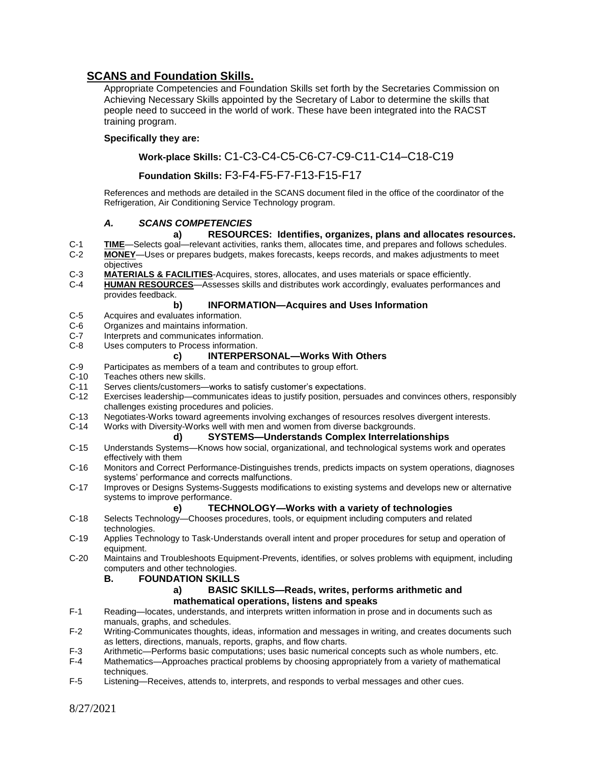## **SCANS and Foundation Skills.**

Appropriate Competencies and Foundation Skills set forth by the Secretaries Commission on Achieving Necessary Skills appointed by the Secretary of Labor to determine the skills that people need to succeed in the world of work. These have been integrated into the RACST training program.

#### **Specifically they are:**

### **Work-place Skills:** C1-C3-C4-C5-C6-C7-C9-C11-C14–C18-C19

#### **Foundation Skills:** F3-F4-F5-F7-F13-F15-F17

References and methods are detailed in the SCANS document filed in the office of the coordinator of the Refrigeration, Air Conditioning Service Technology program.

#### *A. SCANS COMPETENCIES*

#### **a) RESOURCES: Identifies, organizes, plans and allocates resources.**

- C-1 **TIME**—Selects goal—relevant activities, ranks them, allocates time, and prepares and follows schedules.<br>C-2 **MONEY**—Uses or prepares budgets, makes forecasts, keeps records, and makes adjustments to meet MONEY-Uses or prepares budgets, makes forecasts, keeps records, and makes adjustments to meet objectives
- C-3 **MATERIALS & FACILITIES**-Acquires, stores, allocates, and uses materials or space efficiently.
- C-4 **HUMAN RESOURCES**—Assesses skills and distributes work accordingly, evaluates performances and provides feedback.

#### **b) INFORMATION—Acquires and Uses Information**

- C-5 Acquires and evaluates information.
- C-6 Organizes and maintains information.<br>C-7 Interprets and communicates informat
- Interprets and communicates information.
- C-8 Uses computers to Process information.

#### **c) INTERPERSONAL—Works With Others**

- C-9 Participates as members of a team and contributes to group effort.<br>C-10 Teaches others new skills.
- C-10 Teaches others new skills.<br>C-11 Serves clients/customers-
- C-11 Serves clients/customers—works to satisfy customer's expectations.
- Exercises leadership—communicates ideas to justify position, persuades and convinces others, responsibly challenges existing procedures and policies.
- C-13 Negotiates-Works toward agreements involving exchanges of resources resolves divergent interests.<br>C-14 Works with Diversity-Works well with men and women from diverse backgrounds.
	- Works with Diversity-Works well with men and women from diverse backgrounds.

#### **d) SYSTEMS—Understands Complex Interrelationships**

- C-15 Understands Systems—Knows how social, organizational, and technological systems work and operates effectively with them
- C-16 Monitors and Correct Performance-Distinguishes trends, predicts impacts on system operations, diagnoses systems' performance and corrects malfunctions.
- C-17 Improves or Designs Systems-Suggests modifications to existing systems and develops new or alternative systems to improve performance.

#### **e) TECHNOLOGY—Works with a variety of technologies**

- C-18 Selects Technology—Chooses procedures, tools, or equipment including computers and related technologies.
- C-19 Applies Technology to Task-Understands overall intent and proper procedures for setup and operation of equipment.
- C-20 Maintains and Troubleshoots Equipment-Prevents, identifies, or solves problems with equipment, including computers and other technologies.

#### **B. FOUNDATION SKILLS**

#### **a) BASIC SKILLS—Reads, writes, performs arithmetic and mathematical operations, listens and speaks**

- F-1 Reading—locates, understands, and interprets written information in prose and in documents such as manuals, graphs, and schedules.
- F-2 Writing-Communicates thoughts, ideas, information and messages in writing, and creates documents such as letters, directions, manuals, reports, graphs, and flow charts.
- F-3 Arithmetic—Performs basic computations; uses basic numerical concepts such as whole numbers, etc.<br>F-4 Mathematics—Approaches practical problems by choosing appropriately from a variety of mathematical
- Mathematics—Approaches practical problems by choosing appropriately from a variety of mathematical techniques.
- F-5 Listening—Receives, attends to, interprets, and responds to verbal messages and other cues.